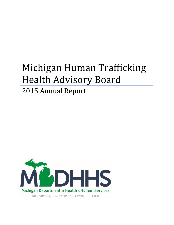# Michigan Human Trafficking Health Advisory Board

# 2015 Annual Report

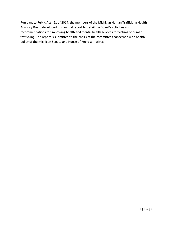Pursuant to Public Act 461 of 2014, the members of the Michigan Human Trafficking Health Advisory Board developed this annual report to detail the Board's activities and recommendations for improving health and mental health services for victims of human trafficking. The report is submitted to the chairs of the committees concerned with health policy of the Michigan Senate and House of Representatives.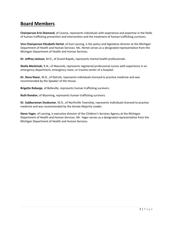# **Board Members**

**Chairperson Erin Diamond**, of Livonia, represents individuals with experience and expertise in the fields of human trafficking prevention and intervention and the treatment of human trafficking survivors.

**Vice Chairperson Elizabeth Hertel**, of East Lansing, is the policy and legislative director at the Michigan Department of Health and Human Services. Ms. Hertel serves as a designated representative from the Michigan Department of Health and Human Services.

**Dr. Jeffrey Jackson**, M.D., of Grand Rapids, represents mental health professionals.

**Sheila Meshinski**, R.N., of Macomb, represents registered professional nurses with experience in an emergency department, emergency room, or trauma center of a hospital.

**Dr. Dena Nazer**, M.D., of Detroit, represents individuals licensed to practice medicine and was recommended by the Speaker of the House.

**Brigette Robarge**, of Belleville, represents human trafficking survivors.

**Ruth Rondon**, of Wyoming, represents human trafficking survivors.

**Dr. Subburaman Sivakumar**, M.D., of Northville Township, represents individuals licensed to practice medicine and was recommended by the Senate Majority Leader.

**Steve Yager**, of Lansing, is executive director of the Children's Services Agency at the Michigan Department of Health and Human Services. Mr. Yager serves as a designated representative from the Michigan Department of Health and Human Services.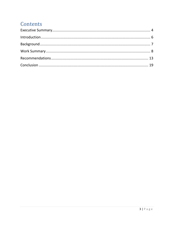# Contents

<span id="page-3-0"></span>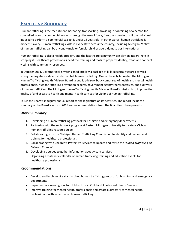# **Executive Summary**

Human trafficking is the recruitment, harboring, transporting, providing, or obtaining of a person for compelled labor or commercial sex acts through the use of force, fraud, or coercion, or if the individual induced to perform a commercial sex act is under 18 years old. In other words, human trafficking is modern slavery. Human trafficking exists in every state across the country, including Michigan. Victims of human trafficking can be anyone—male or female, child or adult, domestic or international.

Human trafficking is also a health problem, and the healthcare community can play an integral role in stopping it. Healthcare professionals need the training and tools to properly identify, treat, and connect victims with community resources.

In October 2014, Governor Rick Snyder signed into law a package of bills specifically geared toward strengthening statewide efforts to combat human trafficking. One of these bills created the Michigan Human Trafficking Health Advisory Board, a public advisory body comprised of health and mental health professionals, human trafficking prevention experts, government agency representatives, and survivors of human trafficking. The Michigan Human Trafficking Health Advisory Board's mission is to improve the quality of and access to health and mental health services for victims of human trafficking.

This is the Board's inaugural annual report to the legislature on its activities. The report includes a summary of the Board's work in 2015 and recommendations from the Board for future projects.

#### **Work Summary:**

- 1. Developing a human trafficking protocol for hospitals and emergency departments
- 2. Partnering with the social work program at Eastern Michigan University to create a Michigan human trafficking resource guide
- 3. Collaborating with the Michigan Human Trafficking Commission to identify and recommend training for healthcare professionals
- 4. Collaborating with Children's Protective Services to update and revise the *Human Trafficking Of Children Protocol*
- 5. Developing a survey to gather information about victim services
- 6. Organizing a statewide calendar of human trafficking training and education events for healthcare professionals

#### **Recommendations:**

- Develop and implement a standardized human trafficking protocol for hospitals and emergency departments
- Implement a screening tool for child victims at Child and Adolescent Health Centers
- Improve training for mental health professionals and create a directory of mental health professionals with expertise on human trafficking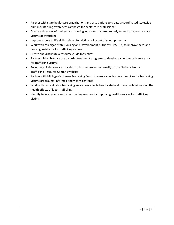- Partner with state healthcare organizations and associations to create a coordinated statewide human trafficking awareness campaign for healthcare professionals
- Create a directory of shelters and housing locations that are properly trained to accommodate victims of trafficking
- Improve access to life skills training for victims aging out of youth programs
- Work with Michigan State Housing and Development Authority (MSHDA) to improve access to housing assistance for trafficking victims
- Create and distribute a resource guide for victims
- Partner with substance use disorder treatment programs to develop a coordinated service plan for trafficking victims
- Encourage victim service providers to list themselves externally on the National Human Trafficking Resource Center's website
- Partner with Michigan's Human Trafficking Court to ensure court-ordered services for trafficking victims are trauma-informed and victim-centered
- Work with current labor trafficking awareness efforts to educate healthcare professionals on the health effects of labor trafficking
- <span id="page-5-0"></span>• Identify federal grants and other funding sources for improving health services for trafficking victims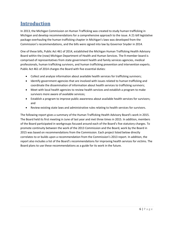# **Introduction**

In 2013, the Michigan Commission on Human Trafficking was created to study human trafficking in Michigan and develop recommendations for a comprehensive approach to the issue. A 21-bill legislative package overhauling the human trafficking chapter in Michigan's laws was developed from the Commission's recommendations, and the bills were signed into law by Governor Snyder in 2014.

One of these bills, Public Act 461 of 2014, established the Michigan Human Trafficking Health Advisory Board within the (now) Michigan Department of Health and Human Services. The 9-member board is comprised of representatives from state government health and family services agencies, medical professionals, human trafficking survivors, and human trafficking prevention and intervention experts. Public Act 461 of 2014 charges the Board with five essential duties:

- Collect and analyze information about available health services for trafficking survivors;
- Identify government agencies that are involved with issues related to human trafficking and coordinate the dissemination of information about health services to trafficking survivors;
- Meet with local health agencies to review health services and establish a program to make survivors more aware of available services;
- Establish a program to improve public awareness about available health services for survivors; and
- Review existing state laws and administrative rules relating to health services for survivors.

<span id="page-6-0"></span>The following report gives a summary of the Human Trafficking Health Advisory Board's work in 2015. The Board held its first meeting in June of last year and met three times in 2015. In addition, members of the Board participated in workgroups focused around each of the Board's five statutory charges. To promote continuity between the work of the 2013 Commission and the Board, work by the Board in 2015 was based on recommendations from the Commission. Each project listed below directly correlates to or builds upon a recommendation from the Commission's 2013 report. In addition, the report also includes a list of the Board's recommendations for improving health services for victims. The Board plans to use these recommendations as a guide for its work in the future.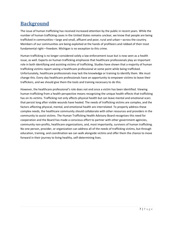# **Background**

The issue of human trafficking has received increased attention by the public in recent years. While the number of human trafficking cases in the United States remains unclear, we know that people are being trafficked in communities—large and small, affluent and poor, rural and urban—across the country. Members of our communities are being exploited at the hands of profiteers and robbed of their most fundamental right—freedom. Michigan is no exception to this crime.

Human trafficking is no longer considered solely a law enforcement issue but is now seen as a health issue, as well. Experts on human trafficking emphasize that healthcare professionals play an important role in both identifying and assisting victims of trafficking. Studies have shown that a majority of human trafficking victims report seeing a healthcare professional at some point while being trafficked. Unfortunately, healthcare professionals may lack the knowledge or training to identify them. We must change this. Every day healthcare professionals have an opportunity to empower victims to leave their traffickers, and we should give them the tools and training necessary to do this.

<span id="page-7-0"></span>However, the healthcare professional's role does not end once a victim has been identified. Viewing human trafficking from a health perspective means recognizing the unique health effects that trafficking has on its victims. Trafficking not only affects physical health but can leave mental and emotional scars that persist long after visible wounds have healed. The needs of trafficking victims are complex, and the factors affecting physical, mental, and emotional health are interrelated. To properly address these complex needs, the healthcare community should collaborate with other resources and providers in the community to assist victims. The Human Trafficking Health Advisory Board recognizes this need for cooperation and the Board has made a conscious effort to partner with other government agencies, community non-profits, healthcare organizations, and, most importantly, survivors of human trafficking. No one person, provider, or organization can address all of the needs of trafficking victims, but through education, training, and coordination we can walk alongside victims and offer them the chance to move forward in their journey to living healthy, self-determining lives.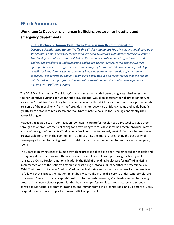# **Work Summary**

#### **Work Item 1: Developing a human trafficking protocol for hospitals and emergency departments**

#### **2013 Michigan Human Trafficking Commission Recommendation**

*Develop a Standardized Human Trafficking Victim Assessment Tool: Michigan should develop a standardized assessment tool for practitioners likely to interact with human trafficking victims. The development of such a tool will help collect more accurate human trafficking data and address the problems of underreporting and failure to self-identify. It will also ensure that appropriate services are offered at an earlier stage of treatment. When developing a Michiganspecific tool, the Commission recommends involving a broad cross-section of practitioners, specialists, academicians, and anti-trafficking advocates. It also recommends that the tool be field tested in a pilot program using law enforcement and providers who have experience working with trafficking victims.* 

The 2013 Michigan Human Trafficking Commission recommended developing a standard assessment tool for identifying victims of human trafficking. The tool would be consistent for all practitioners who are on the "front lines" and likely to come into contact with trafficking victims. Healthcare professionals are some of the most likely "front line" providers to interact with trafficking victims and could benefit greatly from a standardized assessment tool. Unfortunately, no such tool is being consistently used across Michigan.

However, in addition to an identification tool, healthcare professionals need a protocol to guide them through the appropriate steps of caring for a trafficking victim. While some healthcare providers may be aware of the signs of human trafficking, very few know how to properly treat victims or what resources are available for them in the community. To address this, the Board is researching the possibility of developing a human trafficking protocol model that can be recommended to hospitals and emergency rooms.

The Board is studying cases of human trafficking protocols that have been implemented at hospitals and emergency departments across the country, and several examples are promising for Michigan. In Kansas, Via Christi Health, a national leader in the field of providing healthcare for trafficking victims, implemented one of the nation's first human trafficking protocols for its healthcare professionals in 2014. Their protocol includes "red flags" of human trafficking and a four step process for the caregiver to follow if they suspect their patient might be a victim. The protocol is easy to understand, simple, and convenient. Similar to many hospitals' protocols for domestic violence, Via Christi's human trafficking protocol is an inconspicuous pamphlet that healthcare professionals can keep nearby to discreetly consult. In Maryland, government agencies, anti-human trafficking organizations, and Baltimore's Mercy Hospital have partnered to pilot a human trafficking protocol.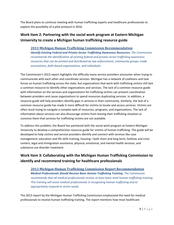The Board plans to continue meeting with human trafficking experts and healthcare professionals to explore the possibility of a pilot protocol in 2016.

## **Work Item 2: Partnering with the social work program at Eastern Michigan University to create a Michigan human trafficking resource guide**

#### **2013 Michigan Human Trafficking Commission Recommendation**

*Identify Existing Federal and Private-Sector Trafficking Awareness Resources: The Commission recommends the identification of existing federal and private-sector trafficking awareness resources that can be printed and distributed by law enforcement, community groups, trade associations, faith-based organizations, and individuals.*

The Commission's 2013 report highlights the difficulty many service providers encounter when trying to communicate with each other and coordinate services. Michigan has a network of coalitions and task forces on human trafficking across the state, but organizations that work with trafficking victims still lack a common resource to identify other organizations and services. The lack of a common resource guide with information on the services and organizations for trafficking victims can prevent coordination between providers and cause organizations to spend resources duplicating services. In addition, a resource guide will help providers identify gaps in services in their community. Similarly, the lack of a common resource guide has made it more difficult for victims to locate and access services. Victims are often stuck trying to navigate a complex web of resources, programs, and organizations. The lack of information about services can also discourage victims from leaving their trafficking situation or convince them that services for trafficking victims are not available.

To address this problem, the Board has partnered with the social work program at Eastern Michigan University to develop a comprehensive resource guide for victims of human trafficking. The guide will be developed to help victims and service providers identify and connect with services like case management; education and life skills training; housing—both short and long term; hotlines and crisis centers; legal and immigration assistance; physical, emotional, and mental health services; and substance use disorder treatment.

# **Work Item 3: Collaborating with the Michigan Human Trafficking Commission to identify and recommend training for healthcare professionals**

#### **2013 Michigan Human Trafficking Commission Report Recommendation** *Medical Professionals Should Receive Basic Human Trafficking Training: The Commission recommends that all medical professionals receive at least basic-level human trafficking training. This training will assist medical professionals in recognizing human trafficking and to appropriately respond to victim needs.*

The 2013 report by the Michigan Human Trafficking Commission emphasized the need for medical professionals to receive human trafficking training. The report mentions how most healthcare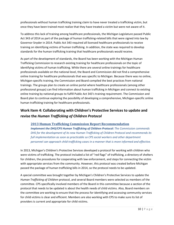professionals without human trafficking training claim to have never treated a trafficking victim, but once they have been trained most realize that they have treated a victim but were not aware of it.

To address this lack of training among healthcare professionals, the Michigan Legislature passed Public Act 343 of 2014 as part of the package of human trafficking-related bills that were signed into law by Governor Snyder in 2014. Public Act 343 required all licensed healthcare professionals to receive training on identifying victims of human trafficking. In addition, the state was required to develop standards for the human trafficking training that healthcare professionals would receive.

As part of the development of standards, the Board has been working with the Michigan Human Trafficking Commission to research existing training for healthcare professionals on the topic of identifying victims of human trafficking. While there are several online trainings for healthcare professionals available on the national level, the Board and Commission did not find a comprehensive online training for healthcare professionals that was specific to Michigan. Because there was no online, Michigan-specific training, the Commission and Board compiled the best practices from national trainings. The groups plan to create an online portal where healthcare professionals (among other professional groups) can find information about human trafficking in Michigan and connect to existing online training by national groups to fulfill Public Act 343's training requirement. The Commission and Board plan to continue exploring the possibility of developing a comprehensive, Michigan-specific online human trafficking training for healthcare professionals.

## **Work Item 4: Collaborating with Children's Protective Services to update and revise the** *Human Trafficking of Children Protocol*

#### **2013 Human Trafficking Commission Report Recommendation**

*Implement the DHS/CPS Human Trafficking of Children Protocol: The Commission commends DHS for the development of its new Human Trafficking of Children Protocol and recommends its full implementation as soon as practicable so CPS social workers and other department personnel can approach child trafficking cases in a manner that is more informed and effective.*

In 2013, Michigan's Children's Protective Services developed a protocol for working with children who were victims of trafficking. The protocol included a list of "red flags" of trafficking, a directory of shelters for children, the procedures for cooperating with law enforcement, and steps for connecting the victim with appropriate services from the community. However, this protocol was created before Michigan passed the package of human trafficking bills in 2014, so the protocol needs to be updated.

A special committee was brought together by Michigan's Children's Protective Services to update the *Human Trafficking of Children* protocol, and several Board members were selected as members of the committee. CPS specifically involved members of the Board in this committee because a section of the protocol that needs to be updated is about the health needs of child victims. Also, Board members on the committee are working to ensure that the process for identifying and accessing community services for child victims is clear and efficient. Members are also working with CPS to make sure its list of providers is current and appropriate for child victims.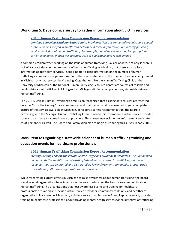#### **Work Item 5: Developing a survey to gather information about victim services**

#### **2013 Human Trafficking Commission Report Recommendation**

*Continue Surveying Michigan-Based Service Providers: Non-governmental organizations should continue to be surveyed in an effort to determine if these organizations are already providing services to victims of human trafficking. For example, homeless shelters may be appropriate survey candidates, though the potential issue of duplicative data is problematic.*

A common problem when working on the issue of human trafficking is a lack of data. Not only is there a lack of accurate data on the prevalence of human trafficking in Michigan, but there is also a lack of information about victim services. There is no up-to-date information on the number of human trafficking victim service organizations, nor is there accurate data on the number of victims being served in Michigan or what services they're using. Organizations like the Human Trafficking Clinic at the University of Michigan or the National Human Trafficking Resource Center are sources of reliable and helpful data about trafficking in Michigan, but Michigan still lacks comprehensive, statewide data on human trafficking.

The 2013 Michigan Human Trafficking Commission recognized that existing data sources represented only the "tip of the iceberg" for victim services and that further work was needed to get a complete picture of the services available in Michigan. In response to this recommendation, the Board is partnering with the Michigan Human Trafficking Commission to jointly produce a victim service provider survey to distribute to a broad range of providers. This survey may include law enforcement and state court personnel, as well. The Board and Commission plan to begin distributing this survey in early 2016.

## **Work Item 6: Organizing a statewide calendar of human trafficking training and education events for healthcare professionals**

#### **2013 Human Trafficking Commission Report Recommendation**

*Identify Existing Federal and Private-Sector Trafficking Awareness Resources: The Commission recommends the identification of existing federal and private-sector trafficking awareness resources that can be printed and distributed by law enforcement, community groups, trade associations, faith-based organizations, and individuals.*

While researching current efforts in Michigan to raise awareness about human trafficking, the Board found several organizations have taken an active role in educating the healthcare community about human trafficking. The organizations that host awareness events and training for healthcare professionals are varied and include victim service providers, community coalitions, and healthcare organizations. For example, Manasseh, a victim service organization in Grand Rapids, regularly provides training to healthcare professionals about providing mental health services for child victims of trafficking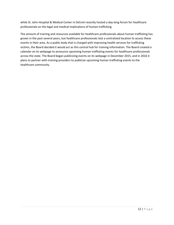while St. John Hospital & Medical Center in Detroit recently hosted a day-long forum for healthcare professionals on the legal and medical implications of human trafficking.

<span id="page-12-0"></span>The amount of training and resources available for healthcare professionals about human trafficking has grown in the past several years, but healthcare professionals lack a centralized location to access these events in their area. As a public body that is charged with improving health services for trafficking victims, the Board decided it would act as this central hub for training information. The Board created a calendar on its webpage to announce upcoming human trafficking events for healthcare professionals across the state. The Board began publicizing events on its webpage in December 2015, and in 2016 it plans to partner with training providers to publicize upcoming human trafficking events to the healthcare community.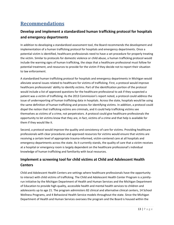# **Recommendations**

## **Develop and implement a standardized human trafficking protocol for hospitals and emergency departments**

In addition to developing a standardized assessment tool, the Board recommends the development and implementation of a human trafficking protocol for hospitals and emergency departments. Once a potential victim is identified, healthcare professionals need to have a set procedure for properly treating the victim. Similar to protocols for domestic violence or child abuse, a human trafficking protocol would include the warning signs of human trafficking, the steps that a healthcare professional must follow for potential treatment, and resources to provide for the victim if they decide not to report their situation to law enforcement.

A standardized human trafficking protocol for hospitals and emergency departments in Michigan would alleviate several issues related to healthcare for victims of trafficking. First, a protocol would improve healthcare professionals' ability to identify victims. Part of the identification portion of the protocol would include a list of approved questions for the healthcare professional to ask if they suspected a patient was a victim of trafficking. As the 2013 Commission's report noted, a protocol could address the issue of underreporting of human trafficking data in hospitals. Across the state, hospitals would be using the same definition of human trafficking and process for identifying victims. In addition, a protocol could dispel the notion that trafficking victims are criminals, and it could help trafficking victims see themselves as victims of a crime, not perpetrators. A protocol could give healthcare professionals the opportunity to let victims know that they are, in fact, victims of a crime and that help is available for them if they would like it.

Second, a protocol would improve the quality and consistency of care for victims. Providing healthcare professionals with clear procedures and approved resources for victims would ensure that victims are receiving a certain level of appropriate trauma-informed, victim-centered care at all hospitals and emergency departments across the state. As it currently stands, the quality of care that a victim receives at a hospital or emergency room is largely dependent on the healthcare professional's individual knowledge of human trafficking and familiarity with local resources.

## **Implement a screening tool for child victims at Child and Adolescent Health Centers**

Child and Adolescent Health Centers are settings where healthcare professionals have the opportunity to interact with child victims of trafficking. The Child and Adolescent Health Center Program is a jointlyrun initiative by the Michigan Department of Health and Human Services and the Michigan Department of Education to provide high-quality, accessible health and mental health services to children and adolescents up to age 21. The program administers 82 clinical and alternative clinical centers, 14 School Wellness Programs, and 4 Behavioral Health Service models throughout the state. Since the Michigan Department of Health and Human Services oversees the program and the Board is housed within the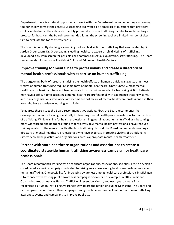Department, there is a natural opportunity to work with the Department on implementing a screening tool for child victims at the centers. A screening tool would be a small list of questions that providers could ask children at their clinics to identify potential victims of trafficking. Similar to implementing a protocol for hospitals, the Board recommends piloting the screening tool at a limited number of sites first to evaluate the tool's effectiveness.

The Board is currently studying a screening tool for child victims of trafficking that was created by Dr. Jordan Greenbaum. Dr. Greenbaum, a leading healthcare expert on child victims of trafficking, developed a six-item screen for possible child commercial sexual exploitation/sex trafficking. The Board recommends piloting a tool like this at Child and Adolescent Health Centers.

## **Improve training for mental health professionals and create a directory of mental health professionals with expertise on human trafficking**

The burgeoning body of research studying the health effects of human trafficking suggests that most victims of human trafficking require some form of mental healthcare. Unfortunately, most mental healthcare professionals have not been educated on the unique needs of a trafficking victim. Patients may have a difficult time accessing a mental healthcare professional with experience treating victims, and many organizations who work with victims are not aware of mental healthcare professionals in their area who have experience working with victims.

To address these issues the Board recommends two actions. First, the Board recommends the development of more training specifically for teaching mental health professionals how to treat victims of trafficking. While training for health professionals, in general, about human trafficking is becoming more widespread, the Board has found that relatively few mental health professionals have received training related to the mental health effects of trafficking. Second, the Board recommends creating a directory of mental healthcare professionals who have expertise in treating victims of trafficking. A directory could help victims and organizations access appropriate mental health treatment.

# **Partner with state healthcare organizations and associations to create a coordinated statewide human trafficking awareness campaign for healthcare professionals**

The Board recommends working with healthcare organizations, associations, societies, etc. to develop a coordinated statewide campaign dedicated to raising awareness among healthcare professionals about human trafficking. One possibility for increasing awareness among healthcare professionals in Michigan is to connect with existing public awareness campaigns or events. For example, in 2015 President Obama declared January as Human Trafficking Prevention Month, and each year January 11 is recognized as Human Trafficking Awareness Day across the nation (including Michigan). The Board and partner groups could launch their campaign during this time and connect with other human trafficking awareness events and campaigns to improve publicity.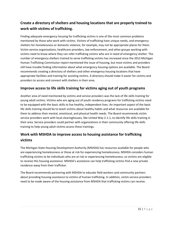## **Create a directory of shelters and housing locations that are properly trained to work with victims of trafficking.**

Finding adequate emergency housing for trafficking victims is one of the most common problems mentioned by those who work with victims. Victims of trafficking have unique needs, and emergency shelters for homelessness or domestic violence, for example, may not be appropriate places for them. Victim service organizations, healthcare providers, law enforcement, and other groups working with victims need to know where they can refer trafficking victims who are in need of emergency shelter. The number of emergency shelters trained to serve trafficking victims has increased since the 2013 Michigan Human Trafficking Commission report mentioned the issue of housing, but most victims and providers still have trouble finding information about what emergency housing options are available. The Board recommends creating a directory of shelters and other emergency housing locations that have appropriate facilities and training for assisting victims. A directory should make it easier for victims and providers to access and connect with shelters in their area.

#### **Improve access to life skills training for victims aging out of youth programs**

Another area of need mentioned by victims and service providers was the lack of life skills training for young adult victims. Victims who are aging out of youth residency programs for trafficking victims need to be equipped with the basic skills to live healthy, independent lives. An important aspect of the basic life skills training should be to teach victims about healthy habits and what resources are available for them to address their mental, emotional, and physical health needs. The Board recommends victim service providers work with local clearinghouses, like United Way 2-1-1, to identify life skills training in their area. Service providers could partner with organizations in their community offering life skills training to help young adult victims access these trainings.

#### **Work with MSHDA to improve access to housing assistance for trafficking victims**

The Michigan State Housing Development Authority (MSHDA) has resources available for people who are experiencing homelessness or those at risk for experiencing homelessness. MSHDA considers human trafficking victims to be individuals who are at risk or experiencing homelessness, so victims are eligible to receive this housing assistance. MSHDA's assistance can help trafficking victims find a new private residence away from their trafficker.

The Board recommends partnering with MSHDA to educate field workers and community partners about providing housing assistance to victims of human trafficking. In addition, victim service providers need to be made aware of the housing assistance from MSHDA that trafficking victims can receive.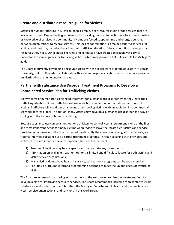#### **Create and distribute a resource guide for victims**

Victims of human trafficking in Michigan need a simple, clear resource guide of the services that are available to them. One of the biggest issues with providing services for victims is a lack of coordination or knowledge of services in a community. Victims are forced to spend time and energy bouncing between organizations to receive services. This lack of coordination is a major barrier to services for victims, and they may be pulled back into their trafficking situation if they cannot find the support and resources they need. Other states like Ohio and Tennessee have created thorough, yet easy-tounderstand resource guides for trafficking victims, which may provide a helpful example for Michigan's guide.

The Board is currently developing a resource guide with the social work program at Eastern Michigan University, but it still needs to collaborate with state and regional coalitions of victim service providers on distributing the guide once it is created.

#### **Partner with substance Use Disorder Treatment Programs to Develop a Coordinated Service Plan for Trafficking Victims**

Many victims of human trafficking need treatment for substance use disorder when they leave their trafficking situation. Often, traffickers will use addiction as a method of recruitment and control of victims. Traffickers will use drugs as a means of compelling victims with an addiction into commercial sex work or forced labor. In addition, many victims may develop a substance use disorder as a way of coping with the trauma of human trafficking.

Because substance use can be a method for traffickers to control victims, treatment is one of the first and most important needs for many victims when trying to leave their trafficker. Victims and service providers who spoke with the Board stressed the difficulty they face in accessing affordable, safe, and trauma-informed substance use disorder treatment programs. Through speaking with providers and victims, the Board identified several important barriers to treatment:

- 1) Treatment facilities may be at capacity and cannot take any more clients
- 2) Information on available treatment options is limited and difficult to locate for both victims and victim service organizations
- 3) Many victims do not have health insurance, so treatment programs can be too expensive
- 4) Facilities lack trauma-informed programming designed to meet the unique needs of trafficking victims

The Board recommends partnering with members of the substance use disorder treatment field to develop a plan for improving access to services. The Board recommends including representatives from substance use disorder treatment facilities, the Michigan Department of Health and Human Services, victim service organizations, and survivors in this workgroup.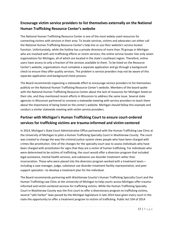## **Encourage victim service providers to list themselves externally on the National Human Trafficking Resource Center's website**

The National Human Trafficking Resource Center is one of the most widely-used resources for connecting victims with services in their area. To locate services, victims and advocates can either call the National Human Trafficking Resource Center's help line or use their website's service locator function. Unfortunately, while the hotline has a private directory of more than 70 groups in Michigan who are involved with anti-trafficking efforts or victim services, the online service locator lists only seven organizations for Michigan, all of which are located in the state's southeast region. Therefore, online users have access to only a fraction of the services available to them. To be listed on the Resource Center's website, organizations must complete a separate application and go through a background check to ensure they offer quality services. The problem is service providers may not be aware of this separate application and background check process.

The Board recommends organizing a statewide effort to encourage service providers to list themselves publicly on the National Human Trafficking Resource Center's website. Members of the board spoke with the National Human Trafficking Resource Center about the lack of resources for Michigan listed on their site, and they mentioned recent efforts in Wisconsin to address the same issue. Several state agencies in Wisconsin partnered to convene a statewide meeting with service providers to teach them about the importance of being listed on the center's website. Michigan should follow this example and conduct a similar statewide meeting with victim service providers.

## **Partner with Michigan's Human Trafficking Court to ensure court-ordered services for trafficking victims are trauma-informed and victim-centered**

In 2014, Michigan's State Court Administrative Office partnered with the Human Trafficking Law Clinic at the University of Michigan to pilot a Human Trafficking Specialty Court in Washtenaw County. The court was created to change the way the criminal justice system views people who have been charged with crimes like prostitution. One of the changes for the specialty court was to assess individuals who have been charged with prostitution for signs that they are a victim of human trafficking. For individuals who were determined to be victims of trafficking, the court would offer a diversion program that included legal assistance, mental health services, and substance use disorder treatment rather than incarceration. Those who were placed into the diversion program worked with a treatment team including a case manager, judge, substance use disorder treatment facility representative, and peer support specialist—to develop a treatment plan for the individual.

The Board recommends partnering with Washtenaw County's Human Trafficking Specialty Court and the Human Trafficking Law Clinic at the University of Michigan to help courts across Michigan offer traumainformed and victim-centered services for trafficking victims. While the Human Trafficking Specialty Court in Washtenaw County was the first court to offer a diversionary program to trafficking victims, several "safe harbor" laws passed by the Michigan legislature in late 2014 have given every court in the state the opportunity to offer a treatment program to victims of trafficking. Public Act 334 of 2014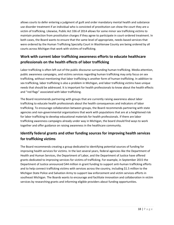allows courts to defer entering a judgment of guilt and order mandatory mental health and substance use disorder treatment if an individual who is convicted of prostitution can show the court they are a victim of trafficking. Likewise, Public Act 336 of 2014 allows for some minor sex trafficking victims to maintain protection from prostitution charges if they agree to participate in court-ordered treatment. In both cases, the Board wants to ensure that the same level of appropriate, needs-based services that were ordered by the Human Trafficking Specialty Court in Washtenaw County are being ordered by all courts across Michigan that work with victims of trafficking.

# **Work with current labor trafficking awareness efforts to educate healthcare professionals on the health effects of labor trafficking**

Labor trafficking is often left out of the public discourse surrounding human trafficking. Media attention, public awareness campaigns, and victims services regarding human trafficking may only focus on sex trafficking, without mentioning that labor trafficking is another form of human trafficking. In addition to sex trafficking, labor trafficking is also a problem in Michigan, and labor trafficking victims have unique needs that should be addressed. It is important for health professionals to know about the health effects and "red flags" associated with labor trafficking.

The Board recommends partnering with groups that are currently raising awareness about labor trafficking to educate health professionals about the health consequences and indicators of labor trafficking. To encourage collaboration between groups, the Board recommends partnering with state agencies and non-governmental organizations that work with populations that are at a heightened risk for labor trafficking to develop educational materials for health professionals. If there are labor trafficking awareness campaigns already under way in Michigan, the board should find ways to work together and offer guidance on raising awareness in the healthcare community.

# **Identify federal grants and other funding sources for improving health services for trafficking victims**

<span id="page-18-0"></span>The Board recommends creating a group dedicated to identifying potential sources of funding for improving health services for victims. In the last several years, federal agencies like the Department of Health and Human Services, the Department of Labor, and the Department of Justice have offered grants dedicated to improving services for victims of trafficking. For example, in September 2015 the Department of Justice announced \$44 million in grant funding to support anti-human trafficking efforts and to help connect trafficking victims with services across the country, including \$1.5 million to the Michigan State Police and Salvation Army to support law enforcement and victim services efforts in southeast Michigan. The Boards wants to encourage and facilitate innovation and collaboration in victim services by researching grants and informing eligible providers about funding opportunities.